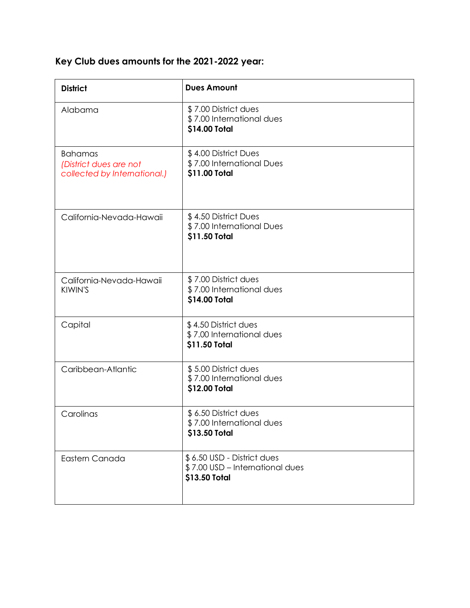## **Key Club dues amounts for the 2021-2022 year:**

| <b>District</b>                                                          | <b>Dues Amount</b>                                                             |
|--------------------------------------------------------------------------|--------------------------------------------------------------------------------|
| Alabama                                                                  | \$7.00 District dues<br>\$7.00 International dues<br>\$14.00 Total             |
| <b>Bahamas</b><br>(District dues are not<br>collected by International.) | \$4.00 District Dues<br>\$7.00 International Dues<br>\$11.00 Total             |
| California-Nevada-Hawaii                                                 | \$4.50 District Dues<br>\$7.00 International Dues<br>\$11.50 Total             |
| California-Nevada-Hawaii<br>KIWIN'S                                      | \$7.00 District dues<br>\$7.00 International dues<br>\$14.00 Total             |
| Capital                                                                  | \$4.50 District dues<br>\$7.00 International dues<br>\$11.50 Total             |
| Caribbean-Atlantic                                                       | \$5.00 District dues<br>\$7.00 International dues<br>\$12.00 Total             |
| Carolinas                                                                | \$6.50 District dues<br>\$7.00 International dues<br>\$13.50 Total             |
| Eastern Canada                                                           | \$6.50 USD - District dues<br>\$7.00 USD - International dues<br>\$13.50 Total |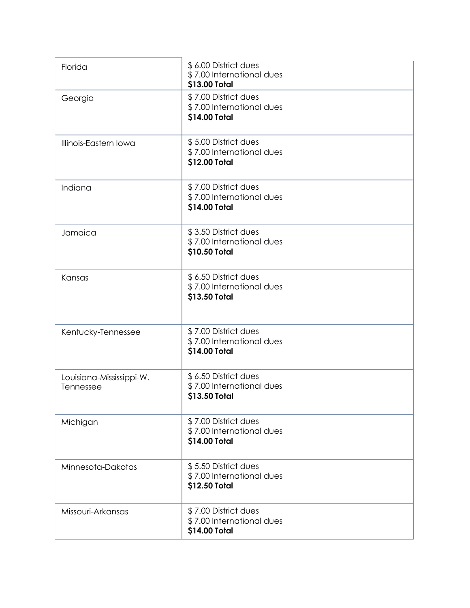| Florida                               | \$6.00 District dues<br>\$7.00 International dues<br>\$13.00 Total |
|---------------------------------------|--------------------------------------------------------------------|
| Georgia                               | \$7.00 District dues<br>\$7.00 International dues<br>\$14.00 Total |
| Illinois-Eastern Iowa                 | \$5.00 District dues<br>\$7.00 International dues<br>\$12.00 Total |
| Indiana                               | \$7.00 District dues<br>\$7.00 International dues<br>\$14.00 Total |
| Jamaica                               | \$3.50 District dues<br>\$7.00 International dues<br>\$10.50 Total |
| Kansas                                | \$6.50 District dues<br>\$7.00 International dues<br>\$13.50 Total |
| Kentucky-Tennessee                    | \$7.00 District dues<br>\$7.00 International dues<br>\$14.00 Total |
| Louisiana-Mississippi-W.<br>Tennessee | \$6.50 District dues<br>\$7.00 International dues<br>\$13.50 Total |
| Michigan                              | \$7.00 District dues<br>\$7.00 International dues<br>\$14.00 Total |
| Minnesota-Dakotas                     | \$5.50 District dues<br>\$7.00 International dues<br>\$12.50 Total |
| Missouri-Arkansas                     | \$7.00 District dues<br>\$7.00 International dues<br>\$14.00 Total |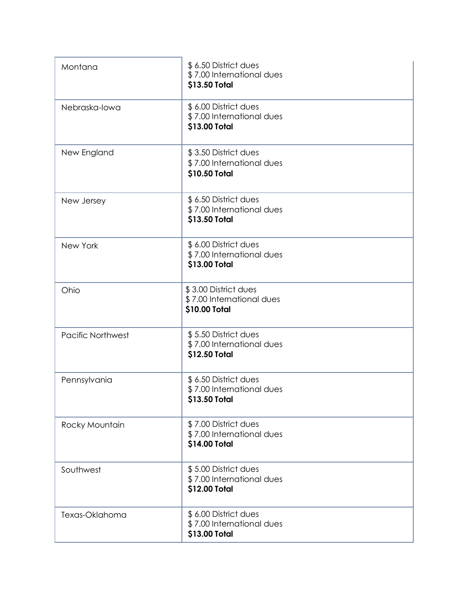| Montana                  | \$6.50 District dues<br>\$7.00 International dues<br>\$13.50 Total |
|--------------------------|--------------------------------------------------------------------|
| Nebraska-lowa            | \$6.00 District dues<br>\$7.00 International dues<br>\$13.00 Total |
| New England              | \$3.50 District dues<br>\$7.00 International dues<br>\$10.50 Total |
| New Jersey               | \$6.50 District dues<br>\$7.00 International dues<br>\$13.50 Total |
| New York                 | \$6.00 District dues<br>\$7.00 International dues<br>\$13.00 Total |
| Ohio                     | \$3.00 District dues<br>\$7.00 International dues<br>\$10.00 Total |
| <b>Pacific Northwest</b> | \$5.50 District dues<br>\$7.00 International dues<br>\$12.50 Total |
| Pennsylvania             | \$6.50 District dues<br>\$7.00 International dues<br>\$13.50 Total |
| Rocky Mountain           | \$7.00 District dues<br>\$7.00 International dues<br>\$14.00 Total |
| Southwest                | \$5.00 District dues<br>\$7.00 International dues<br>\$12.00 Total |
| Texas-Oklahoma           | \$6.00 District dues<br>\$7.00 International dues<br>\$13.00 Total |